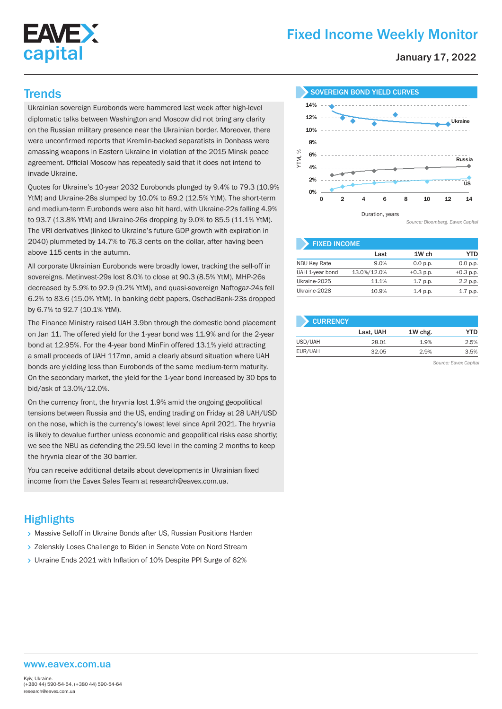# **EAVEX** capital

# Fixed Income Weekly Monitor

January 17, 2022

Ukrainian sovereign Eurobonds were hammered last week after high-level diplomatic talks between Washington and Moscow did not bring any clarity on the Russian military presence near the Ukrainian border. Moreover, there were unconfirmed reports that Kremlin-backed separatists in Donbass were amassing weapons in Eastern Ukraine in violation of the 2015 Minsk peace agreement. Official Moscow has repeatedly said that it does not intend to invade Ukraine.

Quotes for Ukraine's 10-year 2032 Eurobonds plunged by 9.4% to 79.3 (10.9% YtM) and Ukraine-28s slumped by 10.0% to 89.2 (12.5% YtM). The short-term and medium-term Eurobonds were also hit hard, with Ukraine-22s falling 4.9% to 93.7 (13.8% YtM) and Ukraine-26s dropping by 9.0% to 85.5 (11.1% YtM). The VRI derivatives (linked to Ukraine's future GDP growth with expiration in 2040) plummeted by 14.7% to 76.3 cents on the dollar, after having been above 115 cents in the autumn.

All corporate Ukrainian Eurobonds were broadly lower, tracking the sell-off in sovereigns. Metinvest-29s lost 8.0% to close at 90.3 (8.5% YtM), MHP-26s decreased by 5.9% to 92.9 (9.2% YtM), and quasi-sovereign Naftogaz-24s fell 6.2% to 83.6 (15.0% YtM). In banking debt papers, OschadBank-23s dropped by 6.7% to 92.7 (10.1% YtM).

The Finance Ministry raised UAH 3.9bn through the domestic bond placement on Jan 11. The offered yield for the 1-year bond was 11.9% and for the 2-year bond at 12.95%. For the 4-year bond MinFin offered 13.1% yield attracting a small proceeds of UAH 117mn, amid a clearly absurd situation where UAH bonds are yielding less than Eurobonds of the same medium-term maturity. On the secondary market, the yield for the 1-year bond increased by 30 bps to bid/ask of 13.0%/12.0%.

On the currency front, the hryvnia lost 1.9% amid the ongoing geopolitical tensions between Russia and the US, ending trading on Friday at 28 UAH/USD on the nose, which is the currency's lowest level since April 2021. The hryvnia is likely to devalue further unless economic and geopolitical risks ease shortly; we see the NBU as defending the 29.50 level in the coming 2 months to keep the hryvnia clear of the 30 barrier.

You can receive additional details about developments in Ukrainian fixed income from the Eavex Sales Team at research@eavex.com.ua.

## **Highlights**

- > Massive Selloff in Ukraine Bonds after US, Russian Positions Harden
- > Zelenskiy Loses Challenge to Biden in Senate Vote on Nord Stream
- Ukraine Ends 2021 with Inflation of 10% Despite PPI Surge of 62%



*Source: Bloomberg. Eavex Capital*

| <b>FIXED INCOME</b> |             |             |             |  |  |  |  |
|---------------------|-------------|-------------|-------------|--|--|--|--|
|                     | Last        | 1W ch       | YTD         |  |  |  |  |
| <b>NBU Key Rate</b> | 9.0%        | 0.0 p.p.    | 0.0 p.p.    |  |  |  |  |
| UAH 1-year bond     | 13.0%/12.0% | $+0.3$ p.p. | $+0.3$ p.p. |  |  |  |  |
| Ukraine-2025        | 11.1%       | $1.7$ p.p.  | 2.2 p.p.    |  |  |  |  |
| Ukraine-2028        | 10.9%       | 1.4 p.p.    | $1.7$ p.p.  |  |  |  |  |

| <b>CURRENCY</b> |           |         |      |
|-----------------|-----------|---------|------|
|                 | Last, UAH | 1W chg. | YTD  |
| USD/UAH         | 28.01     | 1.9%    | 2.5% |
| EUR/UAH         | 32.05     | 2.9%    | 3.5% |

*Source: Eavex Capital*

#### www.eavex.com.ua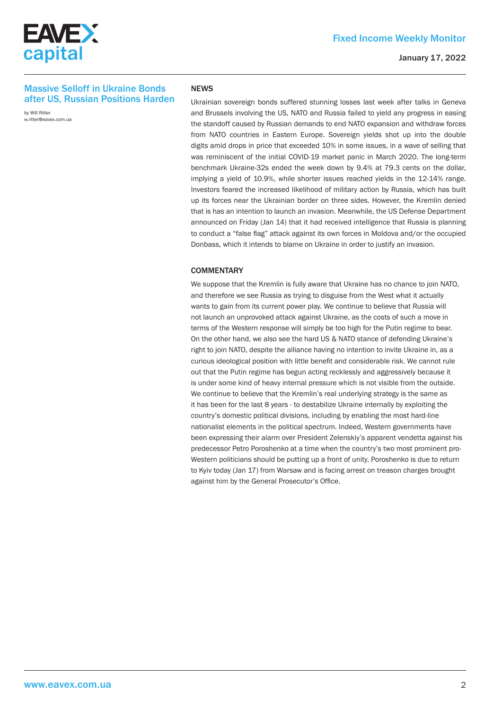

#### January 17, 2022

#### Massive Selloff in Ukraine Bonds after US, Russian Positions Harden

by Will Ritter w.ritter@eavex.com.ua

#### **NEWS**

Ukrainian sovereign bonds suffered stunning losses last week after talks in Geneva and Brussels involving the US, NATO and Russia failed to yield any progress in easing the standoff caused by Russian demands to end NATO expansion and withdraw forces from NATO countries in Eastern Europe. Sovereign yields shot up into the double digits amid drops in price that exceeded 10% in some issues, in a wave of selling that was reminiscent of the initial COVID-19 market panic in March 2020. The long-term benchmark Ukraine-32s ended the week down by 9.4% at 79.3 cents on the dollar, implying a yield of 10.9%, while shorter issues reached yields in the 12-14% range. Investors feared the increased likelihood of military action by Russia, which has built up its forces near the Ukrainian border on three sides. However, the Kremlin denied that is has an intention to launch an invasion. Meanwhile, the US Defense Department announced on Friday (Jan 14) that it had received intelligence that Russia is planning to conduct a "false flag" attack against its own forces in Moldova and/or the occupied Donbass, which it intends to blame on Ukraine in order to justify an invasion.

#### **COMMENTARY**

We suppose that the Kremlin is fully aware that Ukraine has no chance to join NATO. and therefore we see Russia as trying to disguise from the West what it actually wants to gain from its current power play. We continue to believe that Russia will not launch an unprovoked attack against Ukraine, as the costs of such a move in terms of the Western response will simply be too high for the Putin regime to bear. On the other hand, we also see the hard US & NATO stance of defending Ukraine's right to join NATO, despite the alliance having no intention to invite Ukraine in, as a curious ideological position with little benefit and considerable risk. We cannot rule out that the Putin regime has begun acting recklessly and aggressively because it is under some kind of heavy internal pressure which is not visible from the outside. We continue to believe that the Kremlin's real underlying strategy is the same as it has been for the last 8 years - to destabilize Ukraine internally by exploiting the country's domestic political divisions, including by enabling the most hard-line nationalist elements in the political spectrum. Indeed, Western governments have been expressing their alarm over President Zelenskiy's apparent vendetta against his predecessor Petro Poroshenko at a time when the country's two most prominent pro-Western politicians should be putting up a front of unity. Poroshenko is due to return to Kyiv today (Jan 17) from Warsaw and is facing arrest on treason charges brought against him by the General Prosecutor's Office.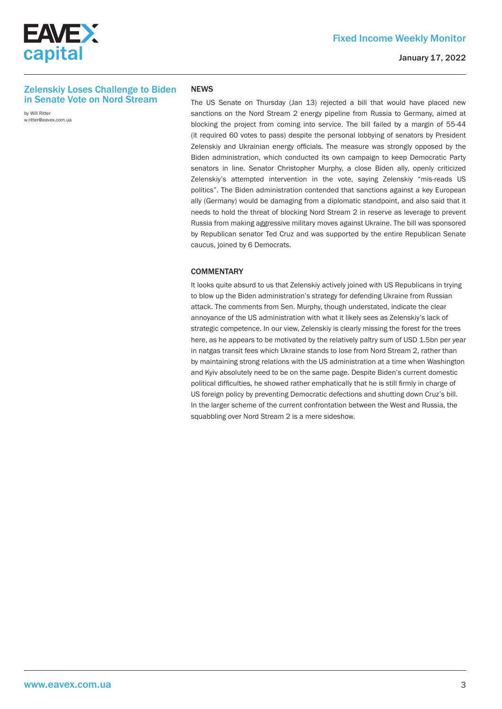



#### January 17, 2022

#### Zelenskiy Loses Challenge to Biden in Senate Vote on Nord Stream

by Will Ritter w.ritter@eavex.com.ua

#### **NEWS**

The US Senate on Thursday (Jan 13) rejected a bill that would have placed new sanctions on the Nord Stream 2 energy pipeline from Russia to Germany, aimed at blocking the project from coming into service. The bill failed by a margin of 55-44 (it required 60 votes to pass) despite the personal lobbying of senators by President Zelenskiy and Ukrainian energy officials. The measure was strongly opposed by the Biden administration, which conducted its own campaign to keep Democratic Party senators in line. Senator Christopher Murphy, a close Biden ally, openly criticized Zelenskiy's attempted intervention in the vote, saying Zelenskiy "mis-reads US politics". The Biden administration contended that sanctions against a key European ally (Germany) would be damaging from a diplomatic standpoint, and also said that it needs to hold the threat of blocking Nord Stream 2 in reserve as leverage to prevent Russia from making aggressive military moves against Ukraine. The bill was sponsored by Republican senator Ted Cruz and was supported by the entire Republican Senate caucus, joined by 6 Democrats.

#### **COMMENTARY**

It looks quite absurd to us that Zelenskiy actively joined with US Republicans in trying to blow up the Biden administration's strategy for defending Ukraine from Russian attack. The comments from Sen. Murphy, though understated, indicate the clear annoyance of the US administration with what it likely sees as Zelenskiy's lack of strategic competence. In our view, Zelenskiy is clearly missing the forest for the trees here, as he appears to be motivated by the relatively paltry sum of USD 1.5bn per year in natgas transit fees which Ukraine stands to lose from Nord Stream 2, rather than by maintaining strong relations with the US administration at a time when Washington and Kyiv absolutely need to be on the same page. Despite Biden's current domestic political difficulties, he showed rather emphatically that he is still firmly in charge of US foreign policy by preventing Democratic defections and shutting down Cruz's bill. In the larger scheme of the current confrontation between the West and Russia, the squabbling over Nord Stream 2 is a mere sideshow.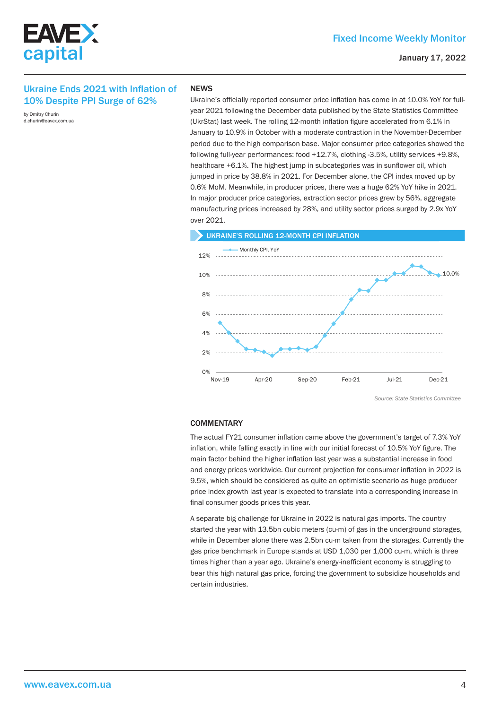

### Ukraine Ends 2021 with Inflation of 10% Despite PPI Surge of 62%

by Dmitry Churin d.churin@eavex.com.ua

#### **NEWS**

Ukraine's officially reported consumer price inflation has come in at 10.0% YoY for fullyear 2021 following the December data published by the State Statistics Committee (UkrStat) last week. The rolling 12-month inflation figure accelerated from 6.1% in January to 10.9% in October with a moderate contraction in the November-December period due to the high comparison base. Major consumer price categories showed the following full-year performances: food +12.7%, clothing -3.5%, utility services +9.8%, healthcare +6.1%. The highest jump in subcategories was in sunflower oil, which jumped in price by 38.8% in 2021. For December alone, the CPI index moved up by 0.6% MoM. Meanwhile, in producer prices, there was a huge 62% YoY hike in 2021. In major producer price categories, extraction sector prices grew by 56%, aggregate manufacturing prices increased by 28%, and utility sector prices surged by 2.9х YoY over 2021.



*Source: State Statistics Committee*

#### **COMMENTARY**

The actual FY21 consumer inflation came above the government's target of 7.3% YoY inflation, while falling exactly in line with our initial forecast of 10.5% YoY figure. The main factor behind the higher inflation last year was a substantial increase in food and energy prices worldwide. Our current projection for consumer inflation in 2022 is 9.5%, which should be considered as quite an optimistic scenario as huge producer price index growth last year is expected to translate into a corresponding increase in final consumer goods prices this year.

A separate big challenge for Ukraine in 2022 is natural gas imports. The country started the year with 13.5bn cubic meters (cu-m) of gas in the underground storages, while in December alone there was 2.5bn cu-m taken from the storages. Currently the gas price benchmark in Europe stands at USD 1,030 per 1,000 cu-m, which is three times higher than a year ago. Ukraine's energy-inefficient economy is struggling to bear this high natural gas price, forcing the government to subsidize households and certain industries.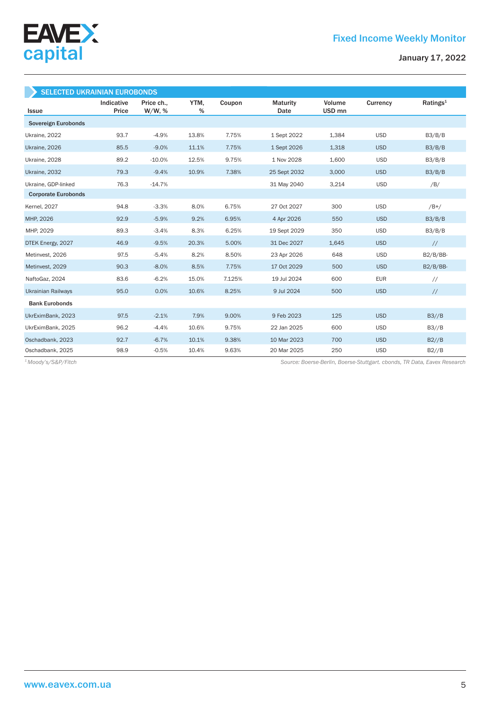

| <b>SELECTED UKRAINIAN EUROBONDS</b> |                     |                         |           |        |                         |                  |            |                      |
|-------------------------------------|---------------------|-------------------------|-----------|--------|-------------------------|------------------|------------|----------------------|
| <b>Issue</b>                        | Indicative<br>Price | Price ch.,<br>$W/W$ , % | YTM,<br>% | Coupon | <b>Maturity</b><br>Date | Volume<br>USD mn | Currency   | Ratings <sup>1</sup> |
| Sovereign Eurobonds                 |                     |                         |           |        |                         |                  |            |                      |
| Ukraine, 2022                       | 93.7                | $-4.9%$                 | 13.8%     | 7.75%  | 1 Sept 2022             | 1,384            | <b>USD</b> | B3/B/B               |
| Ukraine, 2026                       | 85.5                | $-9.0%$                 | 11.1%     | 7.75%  | 1 Sept 2026             | 1,318            | <b>USD</b> | B3/B/B               |
| Ukraine, 2028                       | 89.2                | $-10.0%$                | 12.5%     | 9.75%  | 1 Nov 2028              | 1,600            | <b>USD</b> | B3/B/B               |
| Ukraine, 2032                       | 79.3                | $-9.4%$                 | 10.9%     | 7.38%  | 25 Sept 2032            | 3,000            | <b>USD</b> | B3/B/B               |
| Ukraine, GDP-linked                 | 76.3                | $-14.7%$                |           |        | 31 May 2040             | 3,214            | <b>USD</b> | /B/                  |
| <b>Corporate Eurobonds</b>          |                     |                         |           |        |                         |                  |            |                      |
| <b>Kernel</b> , 2027                | 94.8                | $-3.3%$                 | 8.0%      | 6.75%  | 27 Oct 2027             | 300              | <b>USD</b> | $/B+/$               |
| MHP, 2026                           | 92.9                | $-5.9%$                 | 9.2%      | 6.95%  | 4 Apr 2026              | 550              | <b>USD</b> | B3/B/B               |
| MHP, 2029                           | 89.3                | $-3.4%$                 | 8.3%      | 6.25%  | 19 Sept 2029            | 350              | <b>USD</b> | B3/B/B               |
| DTEK Energy, 2027                   | 46.9                | $-9.5%$                 | 20.3%     | 5.00%  | 31 Dec 2027             | 1,645            | <b>USD</b> | $\frac{1}{2}$        |
| Metinvest, 2026                     | 97.5                | $-5.4%$                 | 8.2%      | 8.50%  | 23 Apr 2026             | 648              | <b>USD</b> | $B2/B/BB-$           |
| Metinvest, 2029                     | 90.3                | $-8.0%$                 | 8.5%      | 7.75%  | 17 Oct 2029             | 500              | <b>USD</b> | $B2/B/BB-$           |
| NaftoGaz, 2024                      | 83.6                | $-6.2%$                 | 15.0%     | 7.125% | 19 Jul 2024             | 600              | <b>EUR</b> | $\frac{1}{2}$        |
| <b>Ukrainian Railways</b>           | 95.0                | 0.0%                    | 10.6%     | 8.25%  | 9 Jul 2024              | 500              | <b>USD</b> | $\frac{1}{2}$        |
| <b>Bank Eurobonds</b>               |                     |                         |           |        |                         |                  |            |                      |
| UkrEximBank, 2023                   | 97.5                | $-2.1%$                 | 7.9%      | 9.00%  | 9 Feb 2023              | 125              | <b>USD</b> | B3//B                |
| UkrEximBank, 2025                   | 96.2                | $-4.4%$                 | 10.6%     | 9.75%  | 22 Jan 2025             | 600              | <b>USD</b> | B3//B                |
| Oschadbank, 2023                    | 92.7                | $-6.7%$                 | 10.1%     | 9.38%  | 10 Mar 2023             | 700              | <b>USD</b> | B2//B                |
| Oschadbank, 2025                    | 98.9                | $-0.5%$                 | 10.4%     | 9.63%  | 20 Mar 2025             | 250              | <b>USD</b> | B2//B                |

*Source: Boerse-Berlin, Boerse-Stuttgart. cbonds, TR Data, Eavex Research 1 Moody's/S&P/Fitch*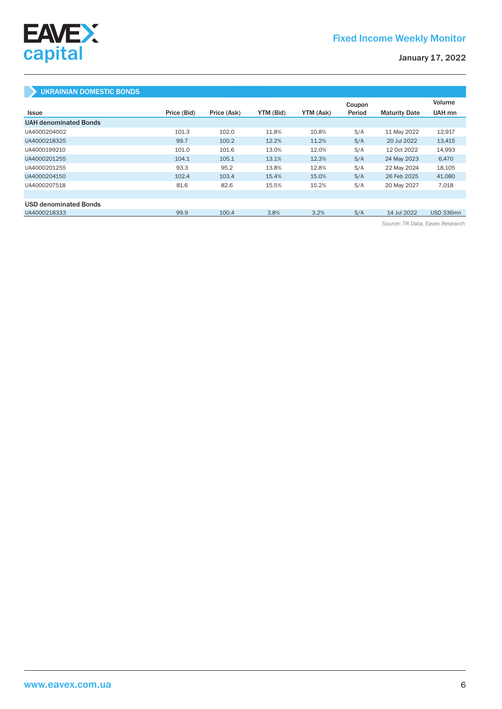

# UKRAINIAN DOMESTIC BONDS

|                              |             |             |           |           | Coupon |                      | Volume           |
|------------------------------|-------------|-------------|-----------|-----------|--------|----------------------|------------------|
| Issue                        | Price (Bid) | Price (Ask) | YTM (Bid) | YTM (Ask) | Period | <b>Maturity Date</b> | UAH mn           |
| <b>UAH denominated Bonds</b> |             |             |           |           |        |                      |                  |
| UA4000204002                 | 101.3       | 102.0       | 11.8%     | 10.8%     | S/A    | 11 May 2022          | 12,917           |
| UA4000218325                 | 99.7        | 100.2       | 12.2%     | 11.2%     | S/A    | 20 Jul 2022          | 13,415           |
| UA4000199210                 | 101.0       | 101.6       | 13.0%     | 12.0%     | S/A    | 12 Oct 2022          | 14,993           |
| UA4000201255                 | 104.1       | 105.1       | 13.1%     | 12.3%     | S/A    | 24 May 2023          | 6,470            |
| UA4000201255                 | 93.3        | 95.2        | 13.8%     | 12.8%     | S/A    | 22 May 2024          | 18,105           |
| UA4000204150                 | 102.4       | 103.4       | 15.4%     | 15.0%     | S/A    | 26 Feb 2025          | 41,080           |
| UA4000207518                 | 81.6        | 82.6        | 15.5%     | 15.2%     | S/A    | 20 May 2027          | 7,018            |
|                              |             |             |           |           |        |                      |                  |
| <b>USD denominated Bonds</b> |             |             |           |           |        |                      |                  |
| UA4000218333                 | 99.9        | 100.4       | 3.8%      | 3.2%      | S/A    | 14 Jul 2022          | <b>USD 336mn</b> |

*Source: TR Data, Eavex Research*